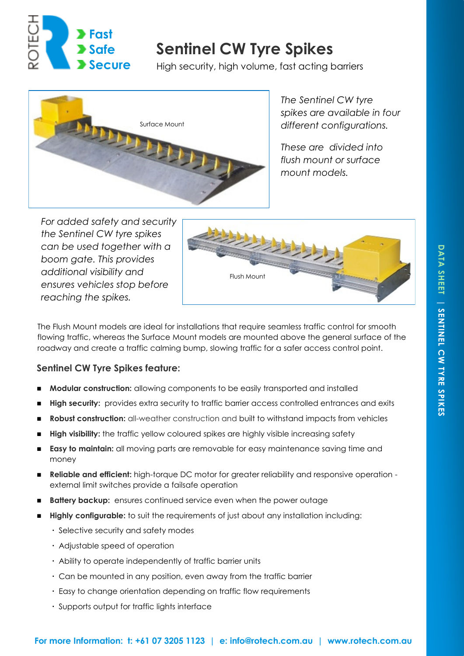

# **Sentinel CW Tyre Spikes**

High security, high volume, fast acting barriers



*The Sentinel CW tyre spikes are available in four different configurations.* 

*These are divided into flush mount or surface mount models.*

*For added safety and security the Sentinel CW tyre spikes can be used together with a boom gate. This provides additional visibility and ensures vehicles stop before reaching the spikes.*



The Flush Mount models are ideal for installations that require seamless traffic control for smooth flowing traffic, whereas the Surface Mount models are mounted above the general surface of the roadway and create a traffic calming bump, slowing traffic for a safer access control point.

## **Sentinel CW Tyre Spikes feature:**

- **Modular construction:** allowing components to be easily transported and installed
- **High security:** provides extra security to traffic barrier access controlled entrances and exits
- **Robust construction:** all-weather construction and built to withstand impacts from vehicles
- **High visibility:** the traffic yellow coloured spikes are highly visible increasing safety
- **Easy to maintain:** all moving parts are removable for easy maintenance saving time and money
- **Reliable and efficient:** high-torque DC motor for greater reliability and responsive operation external limit switches provide a failsafe operation
- **Battery backup:** ensures continued service even when the power outage
- **Highly configurable:** to suit the requirements of just about any installation including:
	- Selective security and safety modes
	- Adjustable speed of operation
	- Ability to operate independently of traffic barrier units
	- Can be mounted in any position, even away from the traffic barrier
	- Easy to change orientation depending on traffic flow requirements
	- Supports output for traffic lights interface